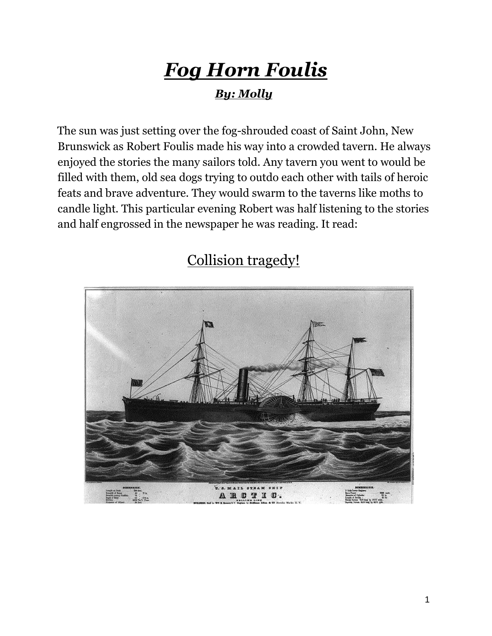## *Fog Horn Foulis*

## *By: Molly*

The sun was just setting over the fog-shrouded coast of Saint John, New Brunswick as Robert Foulis made his way into a crowded tavern. He always enjoyed the stories the many sailors told. Any tavern you went to would be filled with them, old sea dogs trying to outdo each other with tails of heroic feats and brave adventure. They would swarm to the taverns like moths to candle light. This particular evening Robert was half listening to the stories and half engrossed in the newspaper he was reading. It read:



## Collision tragedy!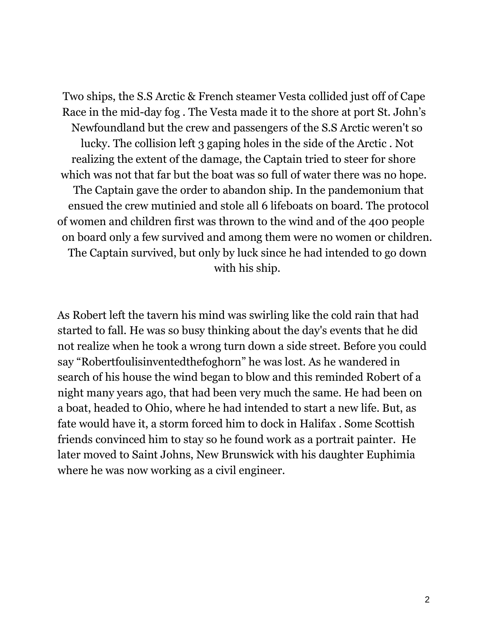Two ships, the S.S Arctic & French steamer Vesta collided just off of Cape Race in the mid-day fog . The Vesta made it to the shore at port St. John's Newfoundland but the crew and passengers of the S.S Arctic weren't so lucky. The collision left 3 gaping holes in the side of the Arctic . Not realizing the extent of the damage, the Captain tried to steer for shore which was not that far but the boat was so full of water there was no hope. The Captain gave the order to abandon ship. In the pandemonium that ensued the crew mutinied and stole all 6 lifeboats on board. The protocol of women and children first was thrown to the wind and of the 400 people on board only a few survived and among them were no women or children. The Captain survived, but only by luck since he had intended to go down with his ship.

As Robert left the tavern his mind was swirling like the cold rain that had started to fall. He was so busy thinking about the day's events that he did not realize when he took a wrong turn down a side street. Before you could say "Robertfoulisinventedthefoghorn" he was lost. As he wandered in search of his house the wind began to blow and this reminded Robert of a night many years ago, that had been very much the same. He had been on a boat, headed to Ohio, where he had intended to start a new life. But, as fate would have it, a storm forced him to dock in Halifax . Some Scottish friends convinced him to stay so he found work as a portrait painter. He later moved to Saint Johns, New Brunswick with his daughter Euphimia where he was now working as a civil engineer.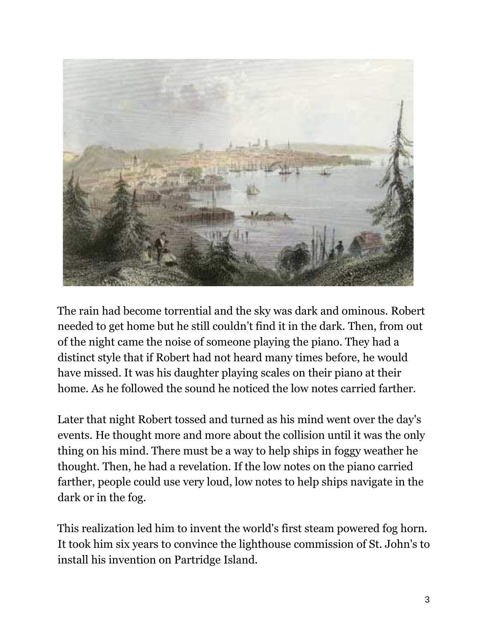

The rain had become torrential and the sky was dark and ominous. Robert needed to get home but he still couldn't find it in the dark. Then, from out of the night came the noise of someone playing the piano. They had a distinct style that if Robert had not heard many times before, he would have missed. It was his daughter playing scales on their piano at their home. As he followed the sound he noticed the low notes carried farther.

Later that night Robert tossed and turned as his mind went over the day's events. He thought more and more about the collision until it was the only thing on his mind. There must be a way to help ships in foggy weather he thought. Then, he had a revelation. If the low notes on the piano carried farther, people could use very loud, low notes to help ships navigate in the dark or in the fog.

This realization led him to invent the world's first steam powered fog horn. It took him six years to convince the lighthouse commission of St. John's to install his invention on Partridge Island.